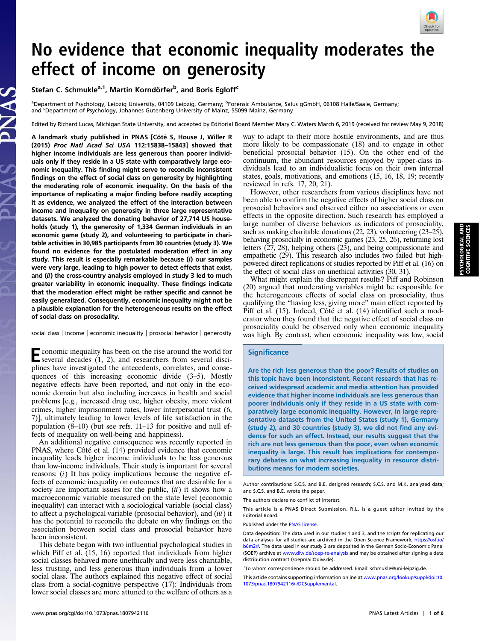

# No evidence that economic inequality moderates the effect of income on generosity

Stefan C. Schmukle<sup>a,1</sup>, Martin Korndörfer<sup>b</sup>, and Boris Egloff<sup>c</sup>

<sup>a</sup>Department of Psychology, Leipzig University, 04109 Leipzig, Germany; <sup>b</sup>Forensic Ambulance, Salus gGmbH, 06108 Halle/Saale, Germany; and <sup>c</sup>Department of Psychology, Johannes Gutenberg University of Mainz, 55099 Mainz, Germany

Edited by Richard Lucas, Michigan State University, and accepted by Editorial Board Member Mary C. Waters March 6, 2019 (received for review May 9, 2018)

A landmark study published in PNAS [Côté S, House J, Willer R (2015) Proc Natl Acad Sci USA 112:15838–15843] showed that higher income individuals are less generous than poorer individuals only if they reside in a US state with comparatively large economic inequality. This finding might serve to reconcile inconsistent findings on the effect of social class on generosity by highlighting the moderating role of economic inequality. On the basis of the importance of replicating a major finding before readily accepting it as evidence, we analyzed the effect of the interaction between income and inequality on generosity in three large representative datasets. We analyzed the donating behavior of 27,714 US households (study 1), the generosity of 1,334 German individuals in an economic game (study 2), and volunteering to participate in charitable activities in 30,985 participants from 30 countries (study 3). We found no evidence for the postulated moderation effect in any study. This result is especially remarkable because (i) our samples were very large, leading to high power to detect effects that exist, and (ii) the cross-country analysis employed in study 3 led to much greater variability in economic inequality. These findings indicate that the moderation effect might be rather specific and cannot be easily generalized. Consequently, economic inequality might not be a plausible explanation for the heterogeneous results on the effect of social class on prosociality.

social class | income | economic inequality | prosocial behavior | generosity

Exercise inequality has been on the rise around the world for several decades (1, 2), and researchers from several disciplines have investigated the antecedents, correlates, and consequences of this increasing economic divide (3–5). Mostly negative effects have been reported, and not only in the economic domain but also including increases in health and social problems [e.g., increased drug use, higher obesity, more violent crimes, higher imprisonment rates, lower interpersonal trust (6, 7)], ultimately leading to lower levels of life satisfaction in the population (8–10) (but see refs. 11–13 for positive and null effects of inequality on well-being and happiness).

An additional negative consequence was recently reported in PNAS, where Côté et al. (14) provided evidence that economic inequality leads higher income individuals to be less generous than low-income individuals. Their study is important for several reasons:  $(i)$  It has policy implications because the negative effects of economic inequality on outcomes that are desirable for a society are important issues for the public,  $(ii)$  it shows how a macroeconomic variable measured on the state level (economic inequality) can interact with a sociological variable (social class) to affect a psychological variable (prosocial behavior), and (iii) it has the potential to reconcile the debate on why findings on the association between social class and prosocial behavior have been inconsistent.

This debate began with two influential psychological studies in which Piff et al. (15, 16) reported that individuals from higher social classes behaved more unethically and were less charitable, less trusting, and less generous than individuals from a lower social class. The authors explained this negative effect of social class from a social-cognitive perspective (17): Individuals from lower social classes are more attuned to the welfare of others as a

way to adapt to their more hostile environments, and are thus more likely to be compassionate (18) and to engage in other beneficial prosocial behavior (15). On the other end of the continuum, the abundant resources enjoyed by upper-class individuals lead to an individualistic focus on their own internal states, goals, motivations, and emotions (15, 16, 18, 19; recently reviewed in refs. 17, 20, 21).

However, other researchers from various disciplines have not been able to confirm the negative effects of higher social class on prosocial behaviors and observed either no associations or even effects in the opposite direction. Such research has employed a large number of diverse behaviors as indicators of prosociality, such as making charitable donations (22, 23), volunteering (23–25), behaving prosocially in economic games (23, 25, 26), returning lost letters (27, 28), helping others (23), and being compassionate and empathetic (29). This research also includes two failed but highpowered direct replications of studies reported by Piff et al. (16) on the effect of social class on unethical activities (30, 31).

What might explain the discrepant results? Piff and Robinson (20) argued that moderating variables might be responsible for the heterogeneous effects of social class on prosociality, thus qualifying the "having less, giving more" main effect reported by Piff et al. (15). Indeed, Côté et al. (14) identified such a moderator when they found that the negative effect of social class on prosociality could be observed only when economic inequality was high. By contrast, when economic inequality was low, social

## **Significance**

Are the rich less generous than the poor? Results of studies on this topic have been inconsistent. Recent research that has received widespread academic and media attention has provided evidence that higher income individuals are less generous than poorer individuals only if they reside in a US state with comparatively large economic inequality. However, in large representative datasets from the United States (study 1), Germany (study 2), and 30 countries (study 3), we did not find any evidence for such an effect. Instead, our results suggest that the rich are not less generous than the poor, even when economic inequality is large. This result has implications for contemporary debates on what increasing inequality in resource distributions means for modern societies.

Author contributions: S.C.S. and B.E. designed research; S.C.S. and M.K. analyzed data; and S.C.S. and B.E. wrote the paper.

The authors declare no conflict of interest.

This article is a PNAS Direct Submission. R.L. is a guest editor invited by the Editorial Board.

Published under the [PNAS license.](https://www.pnas.org/site/aboutpnas/licenses.xhtml)

Data deposition: The data used in our studies 1 and 3, and the scripts for replicating our data analyses for all studies are archived in the Open Science Framework, [https://osf.io/](https://osf.io/b6m2r/) [b6m2r/](https://osf.io/b6m2r/). The data used in our study 2 are deposited in the German Socio-Economic Panel (SOEP) archive at <www.diw.de/soep-re-analysis> and may be obtained after signing a data distribution contract [\(soepmail@diw.de](mailto:soepmail@diw.de)).

1 To whom correspondence should be addressed. Email: [schmukle@uni-leipzig.de](mailto:schmukle@uni-leipzig.de).

This article contains supporting information online at [www.pnas.org/lookup/suppl/doi:10.](https://www.pnas.org/lookup/suppl/doi:10.1073/pnas.1807942116/-/DCSupplemental) [1073/pnas.1807942116/-/DCSupplemental](https://www.pnas.org/lookup/suppl/doi:10.1073/pnas.1807942116/-/DCSupplemental).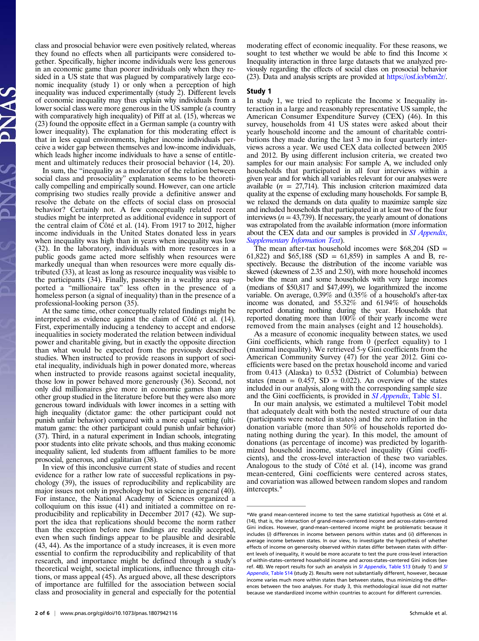class and prosocial behavior were even positively related, whereas they found no effects when all participants were considered together. Specifically, higher income individuals were less generous in an economic game than poorer individuals only when they resided in a US state that was plagued by comparatively large economic inequality (study 1) or only when a perception of high inequality was induced experimentally (study 2). Different levels of economic inequality may thus explain why individuals from a lower social class were more generous in the US sample (a country with comparatively high inequality) of Piff at al. (15), whereas we (23) found the opposite effect in a German sample (a country with lower inequality). The explanation for this moderating effect is that in less equal environments, higher income individuals perceive a wider gap between themselves and low-income individuals, which leads higher income individuals to have a sense of entitlement and ultimately reduces their prosocial behavior (14, 20).

In sum, the "inequality as a moderator of the relation between social class and prosociality" explanation seems to be theoretically compelling and empirically sound. However, can one article comprising two studies really provide a definitive answer and resolve the debate on the effects of social class on prosocial behavior? Certainly not. A few conceptually related recent studies might be interpreted as additional evidence in support of the central claim of Côté et al. (14). From 1917 to 2012, higher income individuals in the United States donated less in years when inequality was high than in years when inequality was low (32). In the laboratory, individuals with more resources in a public goods game acted more selfishly when resources were markedly unequal than when resources were more equally distributed (33), at least as long as resource inequality was visible to the participants (34). Finally, passersby in a wealthy area supported a "millionaire tax" less often in the presence of a homeless person (a signal of inequality) than in the presence of a professional-looking person (35).

At the same time, other conceptually related findings might be interpreted as evidence against the claim of Côté et al. (14). First, experimentally inducing a tendency to accept and endorse inequalities in society moderated the relation between individual power and charitable giving, but in exactly the opposite direction than what would be expected from the previously described studies. When instructed to provide reasons in support of societal inequality, individuals high in power donated more, whereas when instructed to provide reasons against societal inequality, those low in power behaved more generously (36). Second, not only did millionaires give more in economic games than any other group studied in the literature before but they were also more generous toward individuals with lower incomes in a setting with high inequality (dictator game: the other participant could not punish unfair behavior) compared with a more equal setting (ultimatum game: the other participant could punish unfair behavior) (37). Third, in a natural experiment in Indian schools, integrating poor students into elite private schools, and thus making economic inequality salient, led students from affluent families to be more prosocial, generous, and egalitarian (38).

In view of this inconclusive current state of studies and recent evidence for a rather low rate of successful replications in psychology (39), the issues of reproducibility and replicability are major issues not only in psychology but in science in general (40). For instance, the National Academy of Sciences organized a colloquium on this issue (41) and initiated a committee on reproducibility and replicability in December 2017 (42). We support the idea that replications should become the norm rather than the exception before new findings are readily accepted, even when such findings appear to be plausible and desirable (43, 44). As the importance of a study increases, it is even more essential to confirm the reproducibility and replicability of that research, and importance might be defined through a study's theoretical weight, societal implications, influence through citations, or mass appeal (45). As argued above, all these descriptors of importance are fulfilled for the association between social class and prosociality in general and especially for the potential

moderating effect of economic inequality. For these reasons, we sought to test whether we would be able to find this Income  $\times$ Inequality interaction in three large datasets that we analyzed previously regarding the effects of social class on prosocial behavior (23). Data and analysis scripts are provided at <https://osf.io/b6m2r/>.

# Study 1

In study 1, we tried to replicate the Income  $\times$  Inequality interaction in a large and reasonably representative US sample, the American Consumer Expenditure Survey (CEX) (46). In this survey, households from 41 US states were asked about their yearly household income and the amount of charitable contributions they made during the last 3 mo in four quarterly interviews across a year. We used CEX data collected between 2005 and 2012. By using different inclusion criteria, we created two samples for our main analysis: For sample A, we included only households that participated in all four interviews within a given year and for which all variables relevant for our analyses were available  $(n = 27,714)$ . This inclusion criterion maximized data quality at the expense of excluding many households. For sample B, we relaxed the demands on data quality to maximize sample size and included households that participated in at least two of the four interviews ( $n = 43,739$ ). If necessary, the yearly amount of donations was extrapolated from the available information (more information about the CEX data and our samples is provided in [SI Appendix](https://www.pnas.org/lookup/suppl/doi:10.1073/pnas.1807942116/-/DCSupplemental), [Supplementary Information Text](https://www.pnas.org/lookup/suppl/doi:10.1073/pnas.1807942116/-/DCSupplemental)).

The mean after-tax household incomes were  $$68,204$  (SD = 61,822) and \$65,188 (SD = 61,859) in samples A and B, respectively. Because the distribution of the income variable was skewed (skewness of 2.35 and 2.50), with more household incomes below the mean and some households with very large incomes (medians of \$50,817 and \$47,499), we logarithmized the income variable. On average,  $0.39\%$  and  $0.35\%$  of a household's after-tax income was donated, and 55.32% and 61.94% of households reported donating nothing during the year. Households that reported donating more than  $100\%$  of their yearly income were removed from the main analyses (eight and 12 households).

As a measure of economic inequality between states, we used Gini coefficients, which range from 0 (perfect equality) to 1 (maximal inequality). We retrieved 5-y Gini coefficients from the American Community Survey (47) for the year 2012. Gini coefficients were based on the pretax household income and varied from 0.413 (Alaska) to 0.532 (District of Columbia) between states (mean =  $0.457$ , SD =  $0.022$ ). An overview of the states included in our analysis, along with the corresponding sample size and the Gini coefficients, is provided in SI Appendix[, Table S1](https://www.pnas.org/lookup/suppl/doi:10.1073/pnas.1807942116/-/DCSupplemental).

In our main analysis, we estimated a multilevel Tobit model that adequately dealt with both the nested structure of our data (participants were nested in states) and the zero inflation in the donation variable (more than 50% of households reported donating nothing during the year). In this model, the amount of donations (as percentage of income) was predicted by logarithmized household income, state-level inequality (Gini coefficients), and the cross-level interaction of these two variables. Analogous to the study of Côté et al. (14), income was grand mean-centered, Gini coefficients were centered across states, and covariation was allowed between random slopes and random intercepts.\*

<sup>\*</sup>We grand mean-centered income to test the same statistical hypothesis as Côté et al. (14), that is, the interaction of grand-mean–centered income and across-states–centered Gini indices. However, grand-mean–centered income might be problematic because it includes (i) differences in income between persons within states and (ii) differences in average income between states. In our view, to investigate the hypothesis of whether effects of income on generosity observed within states differ between states with different levels of inequality, it would be more accurate to test the pure cross-level interaction of within-states–centered household income and across-states–centered Gini indices (see ref. 48). We report results for such an analysis in [SI Appendix](https://www.pnas.org/lookup/suppl/doi:10.1073/pnas.1807942116/-/DCSupplemental), Table S13 (study 1) and [SI](https://www.pnas.org/lookup/suppl/doi:10.1073/pnas.1807942116/-/DCSupplemental) Appendix[, Table S14](https://www.pnas.org/lookup/suppl/doi:10.1073/pnas.1807942116/-/DCSupplemental) (study 2). Results were not substantially different, however, because income varies much more within states than between states, thus minimizing the differences between the two analyses. For study 3, this methodological issue did not matter because we standardized income within countries to account for different currencies.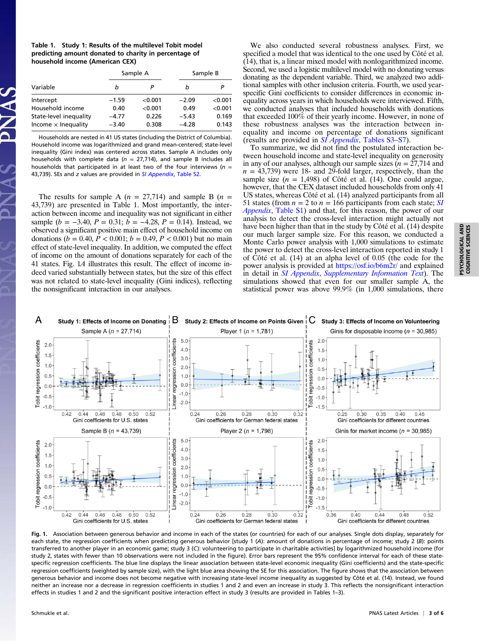| Table 1. Study 1: Results of the multilevel Tobit model |
|---------------------------------------------------------|
| predicting amount donated to charity in percentage of   |
| household income (American CEX)                         |

|                            | Sample A |         | Sample B |         |
|----------------------------|----------|---------|----------|---------|
| Variable                   | b        | P       | b        |         |
| Intercept                  | $-1.59$  | < 0.001 | $-2.09$  | < 0.001 |
| Household income           | 0.40     | < 0.001 | 0.49     | < 0.001 |
| State-level inequality     | $-4.77$  | 0.226   | $-5.43$  | 0.169   |
| Income $\times$ Inequality | $-3.40$  | 0.308   | $-4.28$  | 0.143   |

Households are nested in 41 US states (including the District of Columbia). Household income was logarithmized and grand mean-centered; state-level inequality (Gini index) was centered across states. Sample A includes only households with complete data ( $n = 27,714$ ), and sample B includes all households that participated in at least two of the four interviews ( $n =$ 43,739). SEs and z values are provided in [SI Appendix](https://www.pnas.org/lookup/suppl/doi:10.1073/pnas.1807942116/-/DCSupplemental), Table S2.

The results for sample A ( $n = 27,714$ ) and sample B ( $n =$ 43,739) are presented in Table 1. Most importantly, the interaction between income and inequality was not significant in either sample ( $b = -3.40$ ,  $P = 0.31$ ;  $b = -4.28$ ,  $P = 0.14$ ). Instead, we observed a significant positive main effect of household income on donations ( $b = 0.40, P < 0.001$ ;  $b = 0.49, P < 0.001$ ) but no main effect of state-level inequality. In addition, we computed the effect of income on the amount of donations separately for each of the 41 states. Fig. 1A illustrates this result. The effect of income indeed varied substantially between states, but the size of this effect was not related to state-level inequality (Gini indices), reflecting the nonsignificant interaction in our analyses.

We also conducted several robustness analyses. First, we specified a model that was identical to the one used by Côté et al. (14), that is, a linear mixed model with nonlogarithmized income. Second, we used a logistic multilevel model with no donating versus donating as the dependent variable. Third, we analyzed two additional samples with other inclusion criteria. Fourth, we used yearspecific Gini coefficients to consider differences in economic inequality across years in which households were interviewed. Fifth, we conducted analyses that included households with donations that exceeded 100% of their yearly income. However, in none of these robustness analyses was the interaction between inequality and income on percentage of donations significant (results are provided in SI Appendix[, Tables S3](https://www.pnas.org/lookup/suppl/doi:10.1073/pnas.1807942116/-/DCSupplemental)–[S7](https://www.pnas.org/lookup/suppl/doi:10.1073/pnas.1807942116/-/DCSupplemental)).

To summarize, we did not find the postulated interaction between household income and state-level inequality on generosity in any of our analyses, although our sample sizes  $(n = 27, 714)$  and  $n = 43,739$ ) were 18- and 29-fold larger, respectively, than the sample size  $(n = 1,498)$  of Côté et al. (14). One could argue, however, that the CEX dataset included households from only 41 US states, whereas Côté et al. (14) analyzed participants from all 51 states (from  $n = 2$  to  $n = 166$  participants from each state; [SI](https://www.pnas.org/lookup/suppl/doi:10.1073/pnas.1807942116/-/DCSupplemental) Appendix[, Table S1\)](https://www.pnas.org/lookup/suppl/doi:10.1073/pnas.1807942116/-/DCSupplemental) and that, for this reason, the power of our analysis to detect the cross-level interaction might actually not have been higher than that in the study by Côté et al. (14) despite our much larger sample size. For this reason, we conducted a Monte Carlo power analysis with 1,000 simulations to estimate the power to detect the cross-level interaction reported in study 1 of Côté et al. (14) at an alpha level of 0.05 (the code for the power analysis is provided at <https://osf.io/b6m2r/> and explained in detail in SI Appendix, [Supplementary Information Text](https://www.pnas.org/lookup/suppl/doi:10.1073/pnas.1807942116/-/DCSupplemental)). The simulations showed that even for our smaller sample A, the statistical power was above 99.9% (in 1,000 simulations, there



Fig. 1. Association between generous behavior and income in each of the states (or countries) for each of our analyses. Single dots display, separately for each state, the regression coefficients when predicting generous behavior [study 1 (A): amount of donations in percentage of income; study 2 (B): points transferred to another player in an economic game; study 3 (C): volunteering to participate in charitable activities] by logarithmized household income (for study 2, states with fewer than 10 observations were not included in the figure). Error bars represent the 95% confidence interval for each of these statespecific regression coefficients. The blue line displays the linear association between state-level economic inequality (Gini coefficients) and the state-specific regression coefficients (weighted by sample size), with the light blue area showing the SE for this association. The figure shows that the association between generous behavior and income does not become negative with increasing state-level income inequality as suggested by Côté et al. (14). Instead, we found neither an increase nor a decrease in regression coefficients in studies 1 and 2 and even an increase in study 3. This reflects the nonsignificant interaction effects in studies 1 and 2 and the significant positive interaction effect in study 3 (results are provided in Tables 1–3).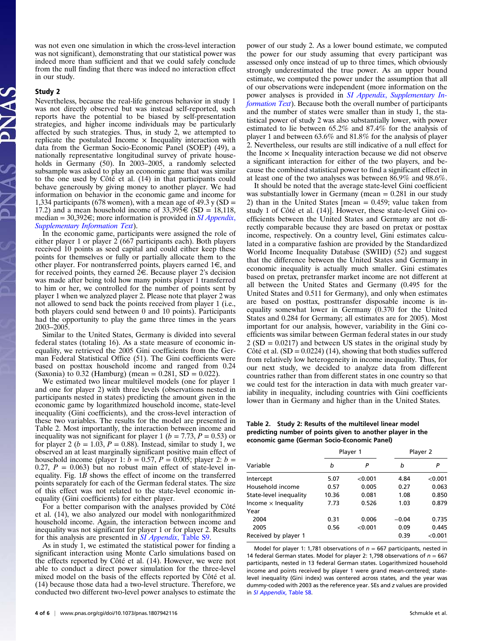was not even one simulation in which the cross-level interaction was not significant), demonstrating that our statistical power was indeed more than sufficient and that we could safely conclude from the null finding that there was indeed no interaction effect in our study.

#### Study 2

Nevertheless, because the real-life generous behavior in study 1 was not directly observed but was instead self-reported, such reports have the potential to be biased by self-presentation strategies, and higher income individuals may be particularly affected by such strategies. Thus, in study 2, we attempted to replicate the postulated Income  $\times$  Inequality interaction with data from the German Socio-Economic Panel (SOEP) (49), a nationally representative longitudinal survey of private households in Germany (50). In 2003–2005, a randomly selected subsample was asked to play an economic game that was similar to the one used by Côté et al. (14) in that participants could behave generously by giving money to another player. We had information on behavior in the economic game and income for 1,334 participants (678 women), with a mean age of 49.3 y (SD = 17.2) and a mean household income of  $33,395 \in (SD = 18,118,$ median = 30,392 $\epsilon$ ; more information is provided in *[SI Appendix](https://www.pnas.org/lookup/suppl/doi:10.1073/pnas.1807942116/-/DCSupplemental)*, [Supplementary Information Text](https://www.pnas.org/lookup/suppl/doi:10.1073/pnas.1807942116/-/DCSupplemental)).

In the economic game, participants were assigned the role of either player 1 or player  $2(667$  participants each). Both players received 10 points as seed capital and could either keep these points for themselves or fully or partially allocate them to the other player. For nontransferred points, players earned  $1 \in$ , and for received points, they earned  $2 \in \mathbb{R}$ . Because player 2's decision was made after being told how many points player 1 transferred to him or her, we controlled for the number of points sent by player 1 when we analyzed player 2. Please note that player 2 was not allowed to send back the points received from player 1 (i.e., both players could send between 0 and 10 points). Participants had the opportunity to play the game three times in the years 2003–2005.

Similar to the United States, Germany is divided into several federal states (totaling 16). As a state measure of economic inequality, we retrieved the 2005 Gini coefficients from the German Federal Statistical Office (51). The Gini coefficients were based on posttax household income and ranged from 0.24 (Saxonia) to 0.32 (Hamburg) (mean = 0.281,  $SD = 0.022$ ).

We estimated two linear multilevel models (one for player 1 and one for player 2) with three levels (observations nested in participants nested in states) predicting the amount given in the economic game by logarithmized household income, state-level inequality (Gini coefficients), and the cross-level interaction of these two variables. The results for the model are presented in Table 2. Most importantly, the interaction between income and inequality was not significant for player 1 ( $b = 7.73, P = 0.53$ ) or for player 2 ( $b = 1.03$ ,  $P = 0.88$ ). Instead, similar to study 1, we observed an at least marginally significant positive main effect of household income (player 1:  $b = 0.57$ ,  $P = 0.005$ ; player 2:  $b =$ 0.27,  $P = 0.063$ ) but no robust main effect of state-level inequality. Fig. 1B shows the effect of income on the transferred points separately for each of the German federal states. The size of this effect was not related to the state-level economic inequality (Gini coefficients) for either player.

For a better comparison with the analyses provided by Côté et al. (14), we also analyzed our model with nonlogarithmized household income. Again, the interaction between income and inequality was not significant for player 1 or for player 2. Results for this analysis are presented in *SI Appendix*, Table S9

As in study 1, we estimated the statistical power for finding a significant interaction using Monte Carlo simulations based on the effects reported by Côté et al. (14). However, we were not able to conduct a direct power simulation for the three-level mixed model on the basis of the effects reported by Côté et al. (14) because those data had a two-level structure. Therefore, we conducted two different two-level power analyses to estimate the

power of our study 2. As a lower bound estimate, we computed the power for our study assuming that every participant was assessed only once instead of up to three times, which obviously strongly underestimated the true power. As an upper bound estimate, we computed the power under the assumption that all of our observations were independent (more information on the power analyses is provided in SI Appendix, [Supplementary In](https://www.pnas.org/lookup/suppl/doi:10.1073/pnas.1807942116/-/DCSupplemental)[formation Text](https://www.pnas.org/lookup/suppl/doi:10.1073/pnas.1807942116/-/DCSupplemental)). Because both the overall number of participants and the number of states were smaller than in study 1, the statistical power of study 2 was also substantially lower, with power estimated to lie between 65.2% and 87.4% for the analysis of player 1 and between 63.6% and 81.8% for the analysis of player 2. Nevertheless, our results are still indicative of a null effect for the Income  $\times$  Inequality interaction because we did not observe a significant interaction for either of the two players, and because the combined statistical power to find a significant effect in at least one of the two analyses was between 86.9% and 98.6%.

It should be noted that the average state-level Gini coefficient was substantially lower in Germany (mean  $= 0.281$  in our study 2) than in the United States  $[mean = 0.459; value taken from$ study 1 of Côté et al. (14)]. However, these state-level Gini coefficients between the United States and Germany are not directly comparable because they are based on pretax or posttax income, respectively. On a country level, Gini estimates calculated in a comparative fashion are provided by the Standardized World Income Inequality Database (SWIID) (52) and suggest that the difference between the United States and Germany in economic inequality is actually much smaller. Gini estimates based on pretax, pretransfer market income are not different at all between the United States and Germany (0.495 for the United States and 0.511 for Germany), and only when estimates are based on posttax, posttransfer disposable income is inequality somewhat lower in Germany (0.370 for the United States and 0.284 for Germany; all estimates are for 2005). Most important for our analysis, however, variability in the Gini coefficients was similar between German federal states in our study  $2 (SD = 0.0217)$  and between US states in the original study by Côté et al.  $(SD = 0.0224)$  (14), showing that both studies suffered from relatively low heterogeneity in income inequality. Thus, for our next study, we decided to analyze data from different countries rather than from different states in one country so that we could test for the interaction in data with much greater variability in inequality, including countries with Gini coefficients lower than in Germany and higher than in the United States.

### Table 2. Study 2: Results of the multilevel linear model predicting number of points given to another player in the economic game (German Socio-Economic Panel)

|                            | Player 1 |         | Player 2 |         |
|----------------------------|----------|---------|----------|---------|
| Variable                   | b        | Ρ       | b        | P       |
| Intercept                  | 5.07     | < 0.001 | 4.84     | < 0.001 |
| Household income           | 0.57     | 0.005   | 0.27     | 0.063   |
| State-level inequality     | 10.36    | 0.081   | 1.08     | 0.850   |
| Income $\times$ Inequality | 7.73     | 0.526   | 1.03     | 0.879   |
| Year                       |          |         |          |         |
| 2004                       | 0.31     | 0.006   | $-0.04$  | 0.735   |
| 2005                       | 0.56     | < 0.001 | 0.09     | 0.445   |
| Received by player 1       |          |         | 0.39     | < 0.001 |

Model for player 1: 1,781 observations of  $n = 667$  participants, nested in 14 federal German states. Model for player 2: 1,798 observations of  $n = 667$ participants, nested in 13 federal German states. Logarithmized household income and points received by player 1 were grand mean-centered; statelevel inequality (Gini index) was centered across states, and the year was dummy-coded with 2003 as the reference year. SEs and z values are provided in [SI Appendix](https://www.pnas.org/lookup/suppl/doi:10.1073/pnas.1807942116/-/DCSupplemental), Table S8.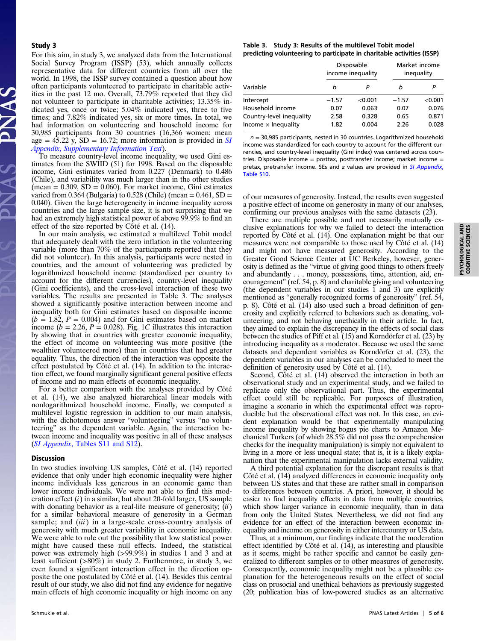#### Study 3

For this aim, in study 3, we analyzed data from the International Social Survey Program (ISSP) (53), which annually collects representative data for different countries from all over the world. In 1998, the ISSP survey contained a question about how often participants volunteered to participate in charitable activities in the past 12 mo. Overall, 73.79% reported that they did not volunteer to participate in charitable activities; 13.35% indicated yes, once or twice; 5.04% indicated yes, three to five times; and 7.82% indicated yes, six or more times. In total, we had information on volunteering and household income for 30,985 participants from 30 countries (16,366 women; mean age =  $45.22$  y, SD = 16.72; more information is provided in [SI](https://www.pnas.org/lookup/suppl/doi:10.1073/pnas.1807942116/-/DCSupplemental) Appendix, [Supplementary Information Text](https://www.pnas.org/lookup/suppl/doi:10.1073/pnas.1807942116/-/DCSupplemental)).

To measure country-level income inequality, we used Gini estimates from the SWIID (51) for 1998. Based on the disposable income, Gini estimates varied from 0.227 (Denmark) to 0.486 (Chile), and variability was much larger than in the other studies  $(\text{mean} = 0.309, SD = 0.060)$ . For market income, Gini estimates varied from 0.364 (Bulgaria) to  $0.528$  (Chile) (mean =  $0.461$ , SD = 0.040). Given the large heterogeneity in income inequality across countries and the large sample size, it is not surprising that we had an extremely high statistical power of above 99.9% to find an effect of the size reported by Côté et al. (14).

In our main analysis, we estimated a multilevel Tobit model that adequately dealt with the zero inflation in the volunteering variable (more than 70% of the participants reported that they did not volunteer). In this analysis, participants were nested in countries, and the amount of volunteering was predicted by logarithmized household income (standardized per country to account for the different currencies), country-level inequality (Gini coefficients), and the cross-level interaction of these two variables. The results are presented in Table 3. The analyses showed a significantly positive interaction between income and inequality both for Gini estimates based on disposable income  $(b = 1.82, P = 0.004)$  and for Gini estimates based on market income ( $b = 2.26$ ,  $P = 0.028$ ). Fig. 1C illustrates this interaction by showing that in countries with greater economic inequality, the effect of income on volunteering was more positive (the wealthier volunteered more) than in countries that had greater equality. Thus, the direction of the interaction was opposite the effect postulated by Côté et al. (14). In addition to the interaction effect, we found marginally significant general positive effects of income and no main effects of economic inequality.

For a better comparison with the analyses provided by Côté et al. (14), we also analyzed hierarchical linear models with nonlogarithmized household income. Finally, we computed a multilevel logistic regression in addition to our main analysis, with the dichotomous answer "volunteering" versus "no volunteering" as the dependent variable. Again, the interaction between income and inequality was positive in all of these analyses (SI Appendix[, Tables S11 and S12](https://www.pnas.org/lookup/suppl/doi:10.1073/pnas.1807942116/-/DCSupplemental)).

#### Discussion

In two studies involving US samples, Côté et al. (14) reported evidence that only under high economic inequality were higher income individuals less generous in an economic game than lower income individuals. We were not able to find this moderation effect (i) in a similar, but about 20-fold larger, US sample with donating behavior as a real-life measure of generosity;  $(ii)$ for a similar behavioral measure of generosity in a German sample; and *(iii)* in a large-scale cross-country analysis of generosity with much greater variability in economic inequality. We were able to rule out the possibility that low statistical power might have caused these null effects. Indeed, the statistical power was extremely high (>99.9%) in studies 1 and 3 and at least sufficient (>80%) in study 2. Furthermore, in study 3, we even found a significant interaction effect in the direction opposite the one postulated by Côté et al. (14). Besides this central result of our study, we also did not find any evidence for negative main effects of high economic inequality or high income on any

#### Table 3. Study 3: Results of the multilevel Tobit model predicting volunteering to participate in charitable activities (ISSP)

|                            |         | Disposable<br>income inequality | Market income<br>inequality |         |
|----------------------------|---------|---------------------------------|-----------------------------|---------|
| Variable                   | b       | Р                               | b                           |         |
| Intercept                  | $-1.57$ | < 0.001                         | $-1.57$                     | < 0.001 |
| Household income           | 0.07    | 0.063                           | 0.07                        | 0.076   |
| Country-level inequality   | 2.58    | 0.328                           | 0.65                        | 0.871   |
| Income $\times$ Inequality | 1.82    | 0.004                           | 2.26                        | 0.028   |

 $n = 30,985$  participants, nested in 30 countries. Logarithmized household income was standardized for each country to account for the different currencies, and country-level inequality (Gini index) was centered across countries. Disposable income = posttax, posttransfer income; market income = pretax, pretransfer income. SEs and z values are provided in [SI Appendix](https://www.pnas.org/lookup/suppl/doi:10.1073/pnas.1807942116/-/DCSupplemental), [Table S10](https://www.pnas.org/lookup/suppl/doi:10.1073/pnas.1807942116/-/DCSupplemental).

of our measures of generosity. Instead, the results even suggested a positive effect of income on generosity in many of our analyses, confirming our previous analyses with the same datasets (23).

There are multiple possible and not necessarily mutually exclusive explanations for why we failed to detect the interaction reported by Côté et al. (14). One explanation might be that our measures were not comparable to those used by Côté et al. (14) and might not have measured generosity. According to the Greater Good Science Center at UC Berkeley, however, generosity is defined as the "virtue of giving good things to others freely and abundantly . . . money, possessions, time, attention, aid, encouragement" (ref. 54, p. 8) and charitable giving and volunteering (the dependent variables in our studies 1 and 3) are explicitly mentioned as "generally recognized forms of generosity" (ref. 54, p. 8). Côté et al. (14) also used such a broad definition of generosity and explicitly referred to behaviors such as donating, volunteering, and not behaving unethically in their article. In fact, they aimed to explain the discrepancy in the effects of social class between the studies of Piff et al. (15) and Korndörfer et al. (23) by introducing inequality as a moderator. Because we used the same datasets and dependent variables as Korndörfer et al. (23), the dependent variables in our analyses can be concluded to meet the definition of generosity used by Côté et al. (14).

Second, Côté et al. (14) observed the interaction in both an observational study and an experimental study, and we failed to replicate only the observational part. Thus, the experimental effect could still be replicable. For purposes of illustration, imagine a scenario in which the experimental effect was reproducible but the observational effect was not. In this case, an evident explanation would be that experimentally manipulating income inequality by showing bogus pie charts to Amazon Mechanical Turkers (of which 28.5% did not pass the comprehension checks for the inequality manipulation) is simply not equivalent to living in a more or less unequal state; that is, it is a likely explanation that the experimental manipulation lacks external validity.

A third potential explanation for the discrepant results is that Côté et al. (14) analyzed differences in economic inequality only between US states and that these are rather small in comparison to differences between countries. A priori, however, it should be easier to find inequality effects in data from multiple countries, which show larger variance in economic inequality, than in data from only the United States. Nevertheless, we did not find any evidence for an effect of the interaction between economic inequality and income on generosity in either intercountry or US data.

Thus, at a minimum, our findings indicate that the moderation effect identified by Côté et al. (14), as interesting and plausible as it seems, might be rather specific and cannot be easily generalized to different samples or to other measures of generosity. Consequently, economic inequality might not be a plausible explanation for the heterogeneous results on the effect of social class on prosocial and unethical behaviors as previously suggested (20; publication bias of low-powered studies as an alternative